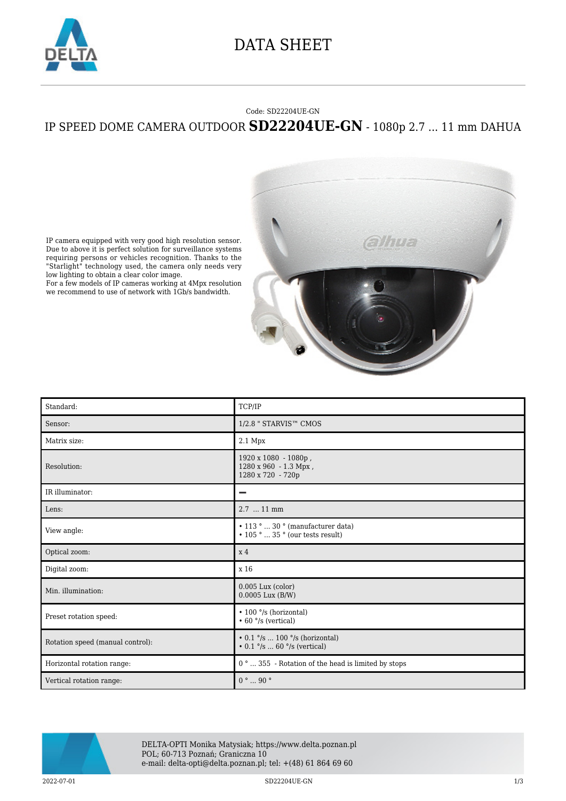

## DATA SHEET

## Code: SD22204UE-GN IP SPEED DOME CAMERA OUTDOOR **SD22204UE-GN** - 1080p 2.7 ... 11 mm DAHUA



IP camera equipped with very good high resolution sensor. Due to above it is perfect solution for surveillance systems requiring persons or vehicles recognition. Thanks to the "Starlight" technology used, the camera only needs very low lighting to obtain a clear color image.

For a few models of IP cameras working at 4Mpx resolution we recommend to use of network with 1Gb/s bandwidth.

| Standard:                        | TCP/IP                                                                                                 |
|----------------------------------|--------------------------------------------------------------------------------------------------------|
| Sensor:                          | 1/2.8 " STARVIS™ CMOS                                                                                  |
| Matrix size:                     | 2.1 Mpx                                                                                                |
| Resolution:                      | 1920 x 1080 - 1080p,<br>1280 x 960 - 1.3 Mpx,<br>1280 x 720 - 720p                                     |
| IR illuminator:                  | -                                                                                                      |
| Lens:                            | 2.7  11 mm                                                                                             |
| View angle:                      | $\bullet$ 113 °  30 ° (manufacturer data)<br>$\bullet$ 105 $^{\circ}$ 35 $^{\circ}$ (our tests result) |
| Optical zoom:                    | x <sub>4</sub>                                                                                         |
| Digital zoom:                    | x 16                                                                                                   |
| Min. illumination:               | $0.005$ Lux (color)<br>$0.0005$ Lux $(B/W)$                                                            |
| Preset rotation speed:           | • 100 °/s (horizontal)<br>$\cdot$ 60 $\degree$ /s (vertical)                                           |
| Rotation speed (manual control): | • $0.1$ °/s  100 °/s (horizontal)<br>• $0.1 \degree$ /s  60 $\degree$ /s (vertical)                    |
| Horizontal rotation range:       | 0°  355 - Rotation of the head is limited by stops                                                     |
| Vertical rotation range:         | $0$ $^{\circ}$ $\ldots$ $90$ $^{\circ}$                                                                |



DELTA-OPTI Monika Matysiak; https://www.delta.poznan.pl POL; 60-713 Poznań; Graniczna 10 e-mail: delta-opti@delta.poznan.pl; tel: +(48) 61 864 69 60

2022-07-01 2022-07-01 SD22204UE-GN 2022-07-01 2022-07-01 2022-07-01 2022-07-01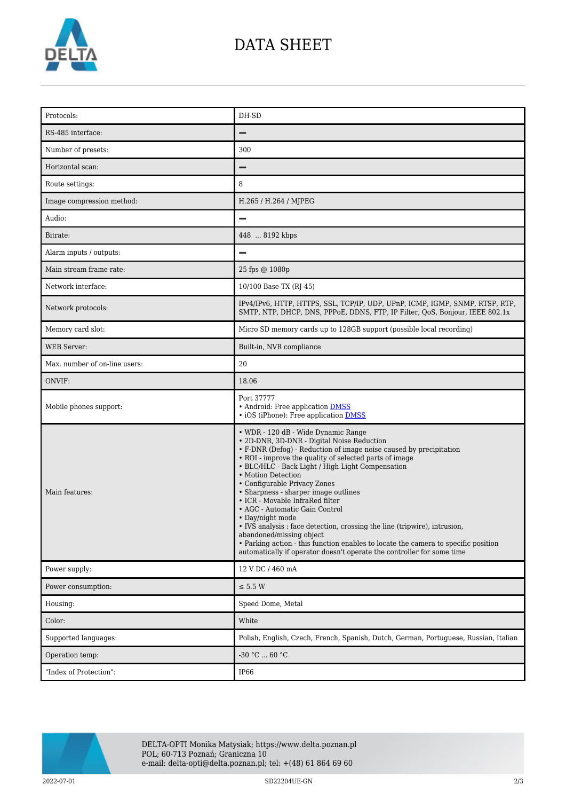

## DATA SHEET

| Protocols:                    | DH-SD                                                                                                                                                                                                                                                                                                                                                                                                                                                                                                                                                                                                                                                                                                                                 |
|-------------------------------|---------------------------------------------------------------------------------------------------------------------------------------------------------------------------------------------------------------------------------------------------------------------------------------------------------------------------------------------------------------------------------------------------------------------------------------------------------------------------------------------------------------------------------------------------------------------------------------------------------------------------------------------------------------------------------------------------------------------------------------|
| RS-485 interface:             |                                                                                                                                                                                                                                                                                                                                                                                                                                                                                                                                                                                                                                                                                                                                       |
| Number of presets:            | 300                                                                                                                                                                                                                                                                                                                                                                                                                                                                                                                                                                                                                                                                                                                                   |
| Horizontal scan:              |                                                                                                                                                                                                                                                                                                                                                                                                                                                                                                                                                                                                                                                                                                                                       |
| Route settings:               | 8                                                                                                                                                                                                                                                                                                                                                                                                                                                                                                                                                                                                                                                                                                                                     |
| Image compression method:     | H.265 / H.264 / MJPEG                                                                                                                                                                                                                                                                                                                                                                                                                                                                                                                                                                                                                                                                                                                 |
| Audio:                        | $\overline{\phantom{0}}$                                                                                                                                                                                                                                                                                                                                                                                                                                                                                                                                                                                                                                                                                                              |
| Bitrate:                      | 448  8192 kbps                                                                                                                                                                                                                                                                                                                                                                                                                                                                                                                                                                                                                                                                                                                        |
| Alarm inputs / outputs:       | $\overline{\phantom{0}}$                                                                                                                                                                                                                                                                                                                                                                                                                                                                                                                                                                                                                                                                                                              |
| Main stream frame rate:       | 25 fps @ 1080p                                                                                                                                                                                                                                                                                                                                                                                                                                                                                                                                                                                                                                                                                                                        |
| Network interface:            | 10/100 Base-TX (RJ-45)                                                                                                                                                                                                                                                                                                                                                                                                                                                                                                                                                                                                                                                                                                                |
| Network protocols:            | IPv4/IPv6, HTTP, HTTPS, SSL, TCP/IP, UDP, UPnP, ICMP, IGMP, SNMP, RTSP, RTP,<br>SMTP, NTP, DHCP, DNS, PPPoE, DDNS, FTP, IP Filter, QoS, Bonjour, IEEE 802.1x                                                                                                                                                                                                                                                                                                                                                                                                                                                                                                                                                                          |
| Memory card slot:             | Micro SD memory cards up to 128GB support (possible local recording)                                                                                                                                                                                                                                                                                                                                                                                                                                                                                                                                                                                                                                                                  |
| <b>WEB</b> Server:            | Built-in, NVR compliance                                                                                                                                                                                                                                                                                                                                                                                                                                                                                                                                                                                                                                                                                                              |
| Max. number of on-line users: | 20                                                                                                                                                                                                                                                                                                                                                                                                                                                                                                                                                                                                                                                                                                                                    |
| ONVIF:                        | 18.06                                                                                                                                                                                                                                                                                                                                                                                                                                                                                                                                                                                                                                                                                                                                 |
| Mobile phones support:        | Port 37777<br>• Android: Free application DMSS<br>• iOS (iPhone): Free application <b>DMSS</b>                                                                                                                                                                                                                                                                                                                                                                                                                                                                                                                                                                                                                                        |
| Main features:                | • WDR - 120 dB - Wide Dynamic Range<br>• 2D-DNR, 3D-DNR - Digital Noise Reduction<br>• F-DNR (Defog) - Reduction of image noise caused by precipitation<br>• ROI - improve the quality of selected parts of image<br>• BLC/HLC - Back Light / High Light Compensation<br>• Motion Detection<br>• Configurable Privacy Zones<br>• Sharpness - sharper image outlines<br>• ICR - Movable InfraRed filter<br>• AGC - Automatic Gain Control<br>• Day/night mode<br>• IVS analysis : face detection, crossing the line (tripwire), intrusion,<br>abandoned/missing object<br>• Parking action - this function enables to locate the camera to specific position<br>automatically if operator doesn't operate the controller for some time |
| Power supply:                 | 12 V DC / 460 mA                                                                                                                                                                                                                                                                                                                                                                                                                                                                                                                                                                                                                                                                                                                      |
| Power consumption:            | $\leq$ 5.5 W                                                                                                                                                                                                                                                                                                                                                                                                                                                                                                                                                                                                                                                                                                                          |
| Housing:                      | Speed Dome, Metal                                                                                                                                                                                                                                                                                                                                                                                                                                                                                                                                                                                                                                                                                                                     |
| Color:                        | White                                                                                                                                                                                                                                                                                                                                                                                                                                                                                                                                                                                                                                                                                                                                 |
| Supported languages:          | Polish, English, Czech, French, Spanish, Dutch, German, Portuguese, Russian, Italian                                                                                                                                                                                                                                                                                                                                                                                                                                                                                                                                                                                                                                                  |
| Operation temp:               | $-30 °C  60 °C$                                                                                                                                                                                                                                                                                                                                                                                                                                                                                                                                                                                                                                                                                                                       |
|                               |                                                                                                                                                                                                                                                                                                                                                                                                                                                                                                                                                                                                                                                                                                                                       |



DELTA-OPTI Monika Matysiak; https://www.delta.poznan.pl POL; 60-713 Poznań; Graniczna 10 e-mail: delta-opti@delta.poznan.pl; tel: +(48) 61 864 69 60

2022-07-01 SD22204UE-GN 2/3